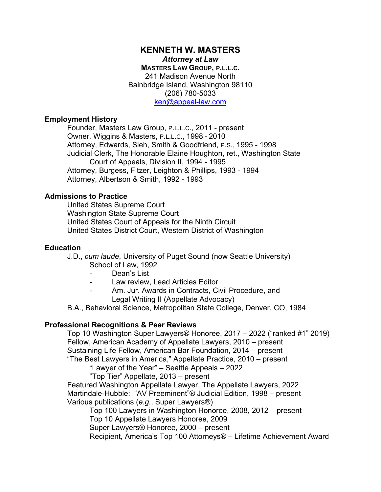# **KENNETH W. MASTERS** *Attorney at Law* **MASTERS LAW GROUP, P.L.L.C.**  241 Madison Avenue North Bainbridge Island, Washington 98110 (206) 780-5033 [ken@appeal-law.com](mailto:ken@appeal-law.com)

# **Employment History**

Founder, Masters Law Group, P.L.L.C., 2011 - present Owner, Wiggins & Masters, P.L.L.C., 1998 - 2010 Attorney, Edwards, Sieh, Smith & Goodfriend, P.S., 1995 - 1998 Judicial Clerk, The Honorable Elaine Houghton, ret., Washington State Court of Appeals, Division II, 1994 - 1995 Attorney, Burgess, Fitzer, Leighton & Phillips, 1993 - 1994 Attorney, Albertson & Smith, 1992 - 1993

## **Admissions to Practice**

United States Supreme Court Washington State Supreme Court United States Court of Appeals for the Ninth Circuit United States District Court, Western District of Washington

### **Education**

J.D., *cum laude*, University of Puget Sound (now Seattle University) School of Law, 1992

- Dean's List
- Law review, Lead Articles Editor
- Am. Jur. Awards in Contracts, Civil Procedure, and Legal Writing II (Appellate Advocacy)

B.A., Behavioral Science, Metropolitan State College, Denver, CO, 1984

# **Professional Recognitions & Peer Reviews**

Top 10 Washington Super Lawyers® Honoree, 2017 – 2022 ("ranked #1" 2019) Fellow, American Academy of Appellate Lawyers, 2010 – present Sustaining Life Fellow, American Bar Foundation, 2014 – present "The Best Lawyers in America," Appellate Practice, 2010 – present

"Lawyer of the Year" – Seattle Appeals – 2022

"Top Tier" Appellate, 2013 – present

Featured Washington Appellate Lawyer, The Appellate Lawyers, 2022 Martindale-Hubble: "AV Preeminent"® Judicial Edition, 1998 – present Various publications (*e.g.*, Super Lawyers®)

Top 100 Lawyers in Washington Honoree, 2008, 2012 – present

Top 10 Appellate Lawyers Honoree, 2009

Super Lawyers® Honoree, 2000 – present

Recipient, America's Top 100 Attorneys® – Lifetime Achievement Award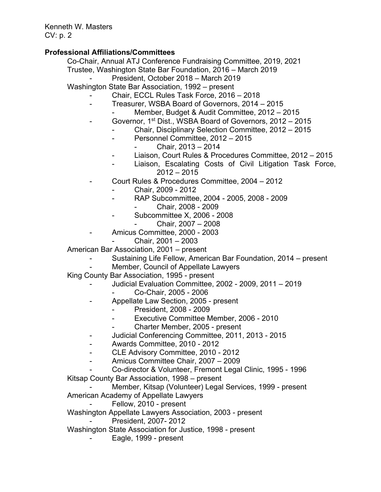# **Professional Affiliations/Committees**

Co-Chair, Annual ATJ Conference Fundraising Committee, 2019, 2021 Trustee, Washington State Bar Foundation, 2016 – March 2019

President, October 2018 – March 2019

Washington State Bar Association, 1992 – present

- Chair, ECCL Rules Task Force, 2016 2018
- Treasurer, WSBA Board of Governors, 2014 2015
	- Member, Budget & Audit Committee, 2012 2015
- Governor, 1<sup>st</sup> Dist., WSBA Board of Governors, 2012 2015
	- Chair, Disciplinary Selection Committee, 2012 2015
	- Personnel Committee, 2012 2015
		- Chair, 2013 2014
	- Liaison, Court Rules & Procedures Committee, 2012 2015
	- Liaison, Escalating Costs of Civil Litigation Task Force, 2012 – 2015
- Court Rules & Procedures Committee, 2004 2012
	- Chair, 2009 2012
	- RAP Subcommittee, 2004 2005, 2008 2009 - Chair, 2008 - 2009
	- Subcommittee X, 2006 2008
	- Chair, 2007 2008
- Amicus Committee, 2000 2003
	- Chair, 2001 2003

American Bar Association, 2001 – present

- Sustaining Life Fellow, American Bar Foundation, 2014 present
- Member, Council of Appellate Lawyers

King County Bar Association, 1995 - present

- Judicial Evaluation Committee, 2002 2009, 2011 2019
	- Co-Chair, 2005 2006
	- Appellate Law Section, 2005 present
		- President, 2008 2009
		- Executive Committee Member, 2006 2010
		- Charter Member, 2005 present
	- Judicial Conferencing Committee, 2011, 2013 2015
	- Awards Committee, 2010 2012
	- CLE Advisory Committee, 2010 2012
	- Amicus Committee Chair, 2007 2009
- Co-director & Volunteer, Fremont Legal Clinic, 1995 1996 Kitsap County Bar Association, 1998 – present
- Member, Kitsap (Volunteer) Legal Services, 1999 present American Academy of Appellate Lawyers
	- Fellow, 2010 present
- Washington Appellate Lawyers Association, 2003 present
	- President, 2007- 2012
- Washington State Association for Justice, 1998 present
	- Eagle, 1999 present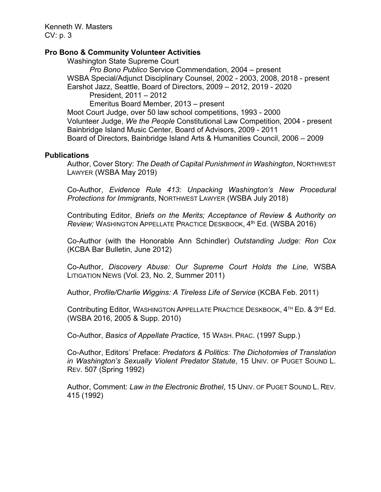# **Pro Bono & Community Volunteer Activities**

Washington State Supreme Court

*Pro Bono Publico* Service Commendation, 2004 – present WSBA Special/Adjunct Disciplinary Counsel, 2002 - 2003, 2008, 2018 - present Earshot Jazz, Seattle, Board of Directors, 2009 – 2012, 2019 - 2020 President, 2011 – 2012 Emeritus Board Member, 2013 – present Moot Court Judge, over 50 law school competitions, 1993 - 2000 Volunteer Judge, *We the People* Constitutional Law Competition, 2004 - present Bainbridge Island Music Center, Board of Advisors, 2009 - 2011

Board of Directors, Bainbridge Island Arts & Humanities Council, 2006 – 2009

### **Publications**

Author, Cover Story: *The Death of Capital Punishment in Washington*, NORTHWEST LAWYER (WSBA May 2019)

Co-Author, *Evidence Rule 413: Unpacking Washington's New Procedural Protections for Immigrants*, NORTHWEST LAWYER (WSBA July 2018)

Contributing Editor, *Briefs on the Merits; Acceptance of Review & Authority on Review;* WASHINGTON APPELLATE PRACTICE DESKBOOK, 4th Ed. (WSBA 2016)

Co-Author (with the Honorable Ann Schindler) *Outstanding Judge: Ron Cox* (KCBA Bar Bulletin, June 2012)

Co-Author, *Discovery Abuse: Our Supreme Court Holds the Line,* WSBA LITIGATION NEWS (Vol. 23, No. 2, Summer 2011)

Author, *Profile/Charlie Wiggins: A Tireless Life of Service* (KCBA Feb. 2011)

Contributing Editor, WASHINGTON APPELLATE PRACTICE DESKBOOK, 4<sup>TH</sup> ED. & 3<sup>rd</sup> Ed. (WSBA 2016, 2005 & Supp. 2010)

Co-Author, *Basics of Appellate Practice*, 15 WASH. PRAC. (1997 Supp.)

Co-Author, Editors' Preface: *Predators & Politics: The Dichotomies of Translation in Washington's Sexually Violent Predator Statute*, 15 UNIV. OF PUGET SOUND L. REV. 507 (Spring 1992)

Author, Comment: *Law in the Electronic Brothel*, 15 UNIV. OF PUGET SOUND L. REV. 415 (1992)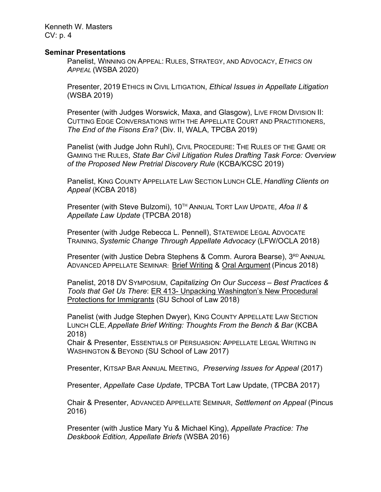#### **Seminar Presentations**

Panelist, WINNING ON APPEAL: RULES, STRATEGY, AND ADVOCACY, *ETHICS ON APPEAL* (WSBA 2020)

Presenter, 2019 ETHICS IN CIVIL LITIGATION, *Ethical Issues in Appellate Litigation* (WSBA 2019)

Presenter (with Judges Worswick, Maxa, and Glasgow), LIVE FROM DIVISION II: CUTTING EDGE CONVERSATIONS WITH THE APPELLATE COURT AND PRACTITIONERS, *The End of the Fisons Era?* (Div. II, WALA, TPCBA 2019)

Panelist (with Judge John Ruhl), CIVIL PROCEDURE: THE RULES OF THE GAME OR GAMING THE RULES, *State Bar Civil Litigation Rules Drafting Task Force: Overview of the Proposed New Pretrial Discovery Rule* (KCBA/KCSC 2019)

Panelist, KING COUNTY APPELLATE LAW SECTION LUNCH CLE, *Handling Clients on Appeal* (KCBA 2018)

Presenter (with Steve Bulzomi), 10TH ANNUAL TORT LAW UPDATE, *Afoa II & Appellate Law Update* (TPCBA 2018)

Presenter (with Judge Rebecca L. Pennell), STATEWIDE LEGAL ADVOCATE TRAINING, *Systemic Change Through Appellate Advocacy* (LFW/OCLA 2018)

Presenter (with Justice Debra Stephens & Comm. Aurora Bearse), 3RD ANNUAL ADVANCED APPELLATE SEMINAR: Brief Writing & Oral Argument (Pincus 2018)

Panelist, 2018 DV SYMPOSIUM, *Capitalizing On Our Success – Best Practices & Tools that Get Us There*: ER 413- Unpacking Washington's New Procedural Protections for Immigrants (SU School of Law 2018)

Panelist (with Judge Stephen Dwyer), KING COUNTY APPELLATE LAW SECTION LUNCH CLE, *Appellate Brief Writing: Thoughts From the Bench & Bar* (KCBA 2018)

Chair & Presenter, ESSENTIALS OF PERSUASION: APPELLATE LEGAL WRITING IN WASHINGTON & BEYOND (SU School of Law 2017)

Presenter, KITSAP BAR ANNUAL MEETING, *Preserving Issues for Appeal* (2017)

Presenter, *Appellate Case Update*, TPCBA Tort Law Update, (TPCBA 2017)

Chair & Presenter, ADVANCED APPELLATE SEMINAR, *Settlement on Appeal* (Pincus 2016)

Presenter (with Justice Mary Yu & Michael King), *Appellate Practice: The Deskbook Edition, Appellate Briefs* (WSBA 2016)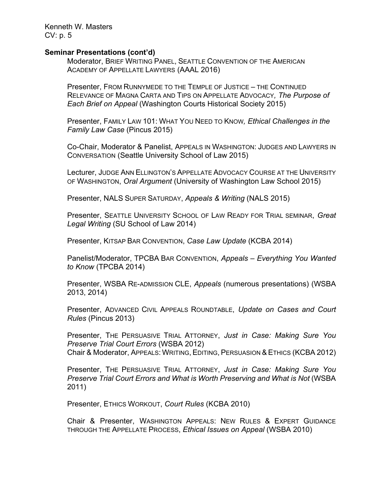#### **Seminar Presentations (cont'd)**

Moderator, BRIEF WRITING PANEL, SEATTLE CONVENTION OF THE AMERICAN ACADEMY OF APPELLATE LAWYERS (AAAL 2016)

Presenter, FROM RUNNYMEDE TO THE TEMPLE OF JUSTICE – THE CONTINUED RELEVANCE OF MAGNA CARTA AND TIPS ON APPELLATE ADVOCACY*, The Purpose of Each Brief on Appeal* (Washington Courts Historical Society 2015)

Presenter, FAMILY LAW 101: WHAT YOU NEED TO KNOW*, Ethical Challenges in the Family Law Case* (Pincus 2015)

Co-Chair, Moderator & Panelist, APPEALS IN WASHINGTON: JUDGES AND LAWYERS IN CONVERSATION (Seattle University School of Law 2015)

Lecturer, JUDGE ANN ELLINGTON'S APPELLATE ADVOCACY COURSE AT THE UNIVERSITY OF WASHINGTON, *Oral Argument* (University of Washington Law School 2015)

Presenter, NALS SUPER SATURDAY, *Appeals & Writing* (NALS 2015)

Presenter, SEATTLE UNIVERSITY SCHOOL OF LAW READY FOR TRIAL SEMINAR, *Great Legal Writing* (SU School of Law 2014)

Presenter, KITSAP BAR CONVENTION, *Case Law Update* (KCBA 2014)

Panelist/Moderator, TPCBA BAR CONVENTION, *Appeals – Everything You Wanted to Know* (TPCBA 2014)

Presenter, WSBA RE-ADMISSION CLE, *Appeals* (numerous presentations) (WSBA 2013, 2014)

Presenter, ADVANCED CIVIL APPEALS ROUNDTABLE, *Update on Cases and Court Rules* (Pincus 2013)

Presenter, THE PERSUASIVE TRIAL ATTORNEY, *Just in Case: Making Sure You Preserve Trial Court Errors* (WSBA 2012) Chair & Moderator, APPEALS: WRITING, EDITING, PERSUASION & ETHICS (KCBA 2012)

Presenter, THE PERSUASIVE TRIAL ATTORNEY, *Just in Case: Making Sure You Preserve Trial Court Errors and What is Worth Preserving and What is Not* (WSBA 2011)

Presenter, ETHICS WORKOUT, *Court Rules* (KCBA 2010)

Chair & Presenter, WASHINGTON APPEALS: NEW RULES & EXPERT GUIDANCE THROUGH THE APPELLATE PROCESS, *Ethical Issues on Appeal* (WSBA 2010)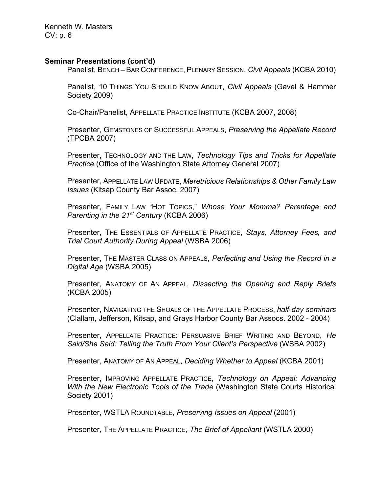### **Seminar Presentations (cont'd)**

Panelist, BENCH – BAR CONFERENCE, PLENARY SESSION, *Civil Appeals* (KCBA 2010)

Panelist, 10 THINGS YOU SHOULD KNOW ABOUT, *Civil Appeals* (Gavel & Hammer Society 2009)

Co-Chair/Panelist, APPELLATE PRACTICE INSTITUTE (KCBA 2007, 2008)

Presenter, GEMSTONES OF SUCCESSFUL APPEALS, *Preserving the Appellate Record* (TPCBA 2007)

Presenter, TECHNOLOGY AND THE LAW, *Technology Tips and Tricks for Appellate Practice* (Office of the Washington State Attorney General 2007)

Presenter, APPELLATE LAW UPDATE, *Meretricious Relationships & Other Family Law Issues* (Kitsap County Bar Assoc. 2007)

Presenter, FAMILY LAW "HOT TOPICS," *Whose Your Momma? Parentage and Parenting in the 21st Century* (KCBA 2006)

Presenter, THE ESSENTIALS OF APPELLATE PRACTICE, *Stays, Attorney Fees, and Trial Court Authority During Appeal* (WSBA 2006)

Presenter, THE MASTER CLASS ON APPEALS, *Perfecting and Using the Record in a Digital Age* (WSBA 2005)

Presenter, ANATOMY OF AN APPEAL, *Dissecting the Opening and Reply Briefs* (KCBA 2005)

Presenter, NAVIGATING THE SHOALS OF THE APPELLATE PROCESS, *half-day seminars* (Clallam, Jefferson, Kitsap, and Grays Harbor County Bar Assocs. 2002 - 2004)

Presenter, APPELLATE PRACTICE: PERSUASIVE BRIEF WRITING AND BEYOND, *He Said/She Said: Telling the Truth From Your Client's Perspective* (WSBA 2002)

Presenter, ANATOMY OF AN APPEAL, *Deciding Whether to Appeal* (KCBA 2001)

Presenter, IMPROVING APPELLATE PRACTICE, *Technology on Appeal: Advancing With the New Electronic Tools of the Trade* (Washington State Courts Historical Society 2001)

Presenter, WSTLA ROUNDTABLE, *Preserving Issues on Appeal* (2001)

Presenter, THE APPELLATE PRACTICE, *The Brief of Appellant* (WSTLA 2000)